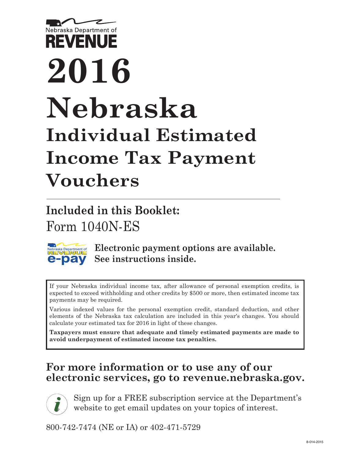

# **2016 Nebraska Individual Estimated Income Tax Payment Vouchers**

**Included in this Booklet:** Form 1040N-ES



*[i](http://www.revenue.ne.gov/subscribe.html)*

**Electronic payment options are available. See instructions inside.**

If your Nebraska individual income tax, after allowance of personal exemption credits, is expected to exceed withholding and other credits by \$500 or more, then estimated income tax payments may be required.

Various indexed values for the personal exemption credit, standard deduction, and other elements of the Nebraska tax calculation are included in this year's changes. You should calculate your estimated tax for 2016 in light of these changes.

**Taxpayers must ensure that adequate and timely estimated payments are made to avoid underpayment of estimated income tax penalties.**

## **For more information or to use any of our electronic services, go to revenue.nebraska.gov.**

Sign up for a FREE subscription service at the Department's website to get email updates on your topics of interest.

800-742-7474 (NE or IA) or 402-471-5729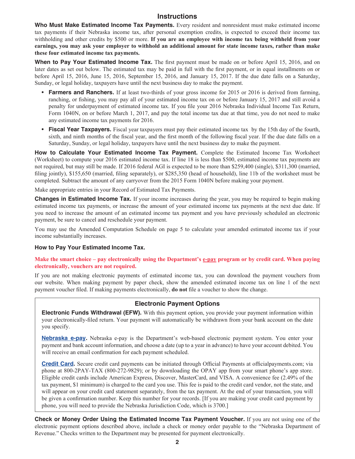## **Instructions**

**Who Must Make Estimated Income Tax Payments.** Every resident and nonresident must make estimated income tax payments if their Nebraska income tax, after personal exemption credits, is expected to exceed their income tax withholding and other credits by \$500 or more. **If you are an employee with income tax being withheld from your earnings, you may ask your employer to withhold an additional amount for state income taxes, rather than make these four estimated income tax payments.**

**When to Pay Your Estimated Income Tax.** The first payment must be made on or before April 15, 2016, and on later dates as set out below. The estimated tax may be paid in full with the first payment, or in equal installments on or before April 15, 2016, June 15, 2016, September 15, 2016, and January 15, 2017. If the due date falls on a Saturday, Sunday, or legal holiday, taxpayers have until the next business day to make the payment.

- **Farmers and Ranchers.** If at least two-thirds of your gross income for 2015 or 2016 is derived from farming, ranching, or fishing, you may pay all of your estimated income tax on or before January 15, 2017 and still avoid a penalty for underpayment of estimated income tax. If you file your 2016 Nebraska Individual Income Tax Return, Form 1040N, on or before March 1, 2017, and pay the total income tax due at that time, you do not need to make any estimated income tax payments for 2016.
- **Fiscal Year Taxpayers.** Fiscal year taxpayers must pay their estimated income tax by the 15th day of the fourth, sixth, and ninth months of the fiscal year, and the first month of the following fiscal year. If the due date falls on a Saturday, Sunday, or legal holiday, taxpayers have until the next business day to make the payment.

**How to Calculate Your Estimated Income Tax Payment.** Complete the Estimated Income Tax Worksheet (Worksheet) to compute your 2016 estimated income tax. If line 18 is less than \$500, estimated income tax payments are not required, but may still be made. If 2016 federal AGI is expected to be more than \$259,400 (single), \$311,300 (married, filing jointly), \$155,650 (married, filing separately), or \$285,350 (head of household), line 11b of the worksheet must be completed. Subtract the amount of any carryover from the 2015 Form 1040N before making your payment.

Make appropriate entries in your Record of Estimated Tax Payments.

**Changes in Estimated Income Tax.** If your income increases during the year, you may be required to begin making estimated income tax payments, or increase the amount of your estimated income tax payments at the next due date. If you need to increase the amount of an estimated income tax payment and you have previously scheduled an electronic payment, be sure to cancel and reschedule your payment.

You may use the Amended Computation Schedule on page 5 to calculate your amended estimated income tax if your income substantially increases.

#### **How to Pay Your Estimated Income Tax.**

Make the smart choice – pay electronically using the Department's <u>e-pay</u> program or by credit card. When paying **electronically, vouchers are not required.**

If you are not making electronic payments of estimated income tax, you can download the payment vouchers from our website. When making payment by paper check, show the amended estimated income tax on line 1 of the next payment voucher filed. If making payments electronically, **do not** file a voucher to show the change.

### **Electronic Payment Options**

**Electronic Funds Withdrawal (EFW).** With this payment option, you provide your payment information within your electronically-filed return. Your payment will automatically be withdrawn from your bank account on the date you specify.

**[Nebraska e-pay](http://www.revenue.nebraska.gov/electron/est_IIT_e-pay.html).** Nebraska e-pay is the Department's web-based electronic payment system. You enter your payment and bank account information, and choose a date (up to a year in advance) to have your account debited. You will receive an email confirmation for each payment scheduled.

**[Credit Card.](http://www.revenue.nebraska.gov/electron/credit_card.html)** Secure credit card payments can be initiated through Official Payments at [officialpayments.com;](https://www.officialpayments.com/index.jsp?JSESSIONID=xxSQSr6CknpMTWG!1809901824!1423183113) via phone at 800-2PAY-TAX (800-272-9829); or by downloading the OPAY app from your smart phone's app store. Eligible credit cards include American Express, Discover, MasterCard, and VISA. A convenience fee (2.49% of the tax payment, \$1 minimum) is charged to the card you use. This fee is paid to the credit card vendor, not the state, and will appear on your credit card statement separately, from the tax payment. At the end of your transaction, you will be given a confirmation number. Keep this number for your records. [If you are making your credit card payment by phone, you will need to provide the Nebraska Jurisdiction Code, which is 3700.]

**Check or Money Order Using the Estimated Income Tax Payment Voucher.** If you are not using one of the electronic payment options described above, include a check or money order payable to the "Nebraska Department of Revenue." Checks written to the Department may be presented for payment electronically.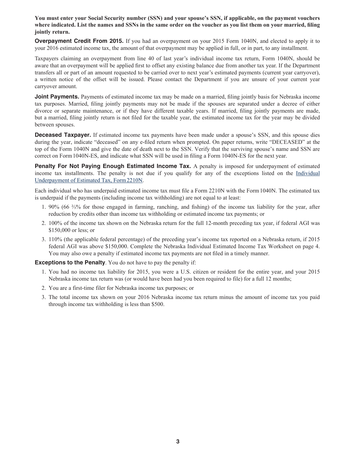**You must enter your Social Security number (SSN) and your spouse's SSN, if applicable, on the payment vouchers where indicated. List the names and SSNs in the same order on the voucher as you list them on your married, filing jointly return.**

**Overpayment Credit From 2015.** If you had an overpayment on your 2015 Form 1040N, and elected to apply it to your 2016 estimated income tax, the amount of that overpayment may be applied in full, or in part, to any installment.

Taxpayers claiming an overpayment from line 40 of last year's individual income tax return, Form 1040N, should be aware that an overpayment will be applied first to offset any existing balance due from another tax year. If the Department transfers all or part of an amount requested to be carried over to next year's estimated payments (current year carryover), a written notice of the offset will be issued. Please contact the Department if you are unsure of your current year carryover amount.

**Joint Payments.** Payments of estimated income tax may be made on a married, filing jointly basis for Nebraska income tax purposes. Married, filing jointly payments may not be made if the spouses are separated under a decree of either divorce or separate maintenance, or if they have different taxable years. If married, filing jointly payments are made, but a married, filing jointly return is not filed for the taxable year, the estimated income tax for the year may be divided between spouses.

**Deceased Taxpayer.** If estimated income tax payments have been made under a spouse's SSN, and this spouse dies during the year, indicate "deceased" on any e-filed return when prompted. On paper returns, write "DECEASED" at the top of the Form 1040N and give the date of death next to the SSN. Verify that the surviving spouse's name and SSN are correct on Form 1040N-ES, and indicate what SSN will be used in filing a Form 1040N-ES for the next year.

**Penalty For Not Paying Enough Estimated Income Tax.** A penalty is imposed for underpayment of estimated income tax installments. The penalty is not due if you qualify for any of the exceptions listed on the [Individual](http://www.revenue.nebraska.gov/tax/15forms/f_2210n.pdf)  [Underpayment of Estimated Tax, Form2210N](http://www.revenue.nebraska.gov/tax/15forms/f_2210n.pdf).

Each individual who has underpaid estimated income tax must file a Form 2210N with the Form1040N. The estimated tax is underpaid if the payments (including income tax withholding) are not equal to at least:

- 1. 90% (66 ⅔% for those engaged in farming, ranching, and fishing) of the income tax liability for the year, after reduction by credits other than income tax withholding or estimated income tax payments; or
- 2. 100% of the income tax shown on the Nebraska return for the full 12‑month preceding tax year, if federal AGI was \$150,000 or less; or
- 3. 110% (the applicable federal percentage) of the preceding year's income tax reported on a Nebraska return, if 2015 federal AGI was above \$150,000. Complete the Nebraska Individual Estimated Income Tax Worksheet on page 4. You may also owe a penalty if estimated income tax payments are not filed in a timely manner.

**Exceptions to the Penalty**. You do not have to pay the penalty if:

- 1. You had no income tax liability for 2015, you were a U.S. citizen or resident for the entire year, and your 2015 Nebraska income tax return was (or would have been had you been required to file) for a full 12 months;
- 2. You are a first-time filer for Nebraska income tax purposes; or
- 3. The total income tax shown on your 2016 Nebraska income tax return minus the amount of income tax you paid through income tax withholding is less than \$500.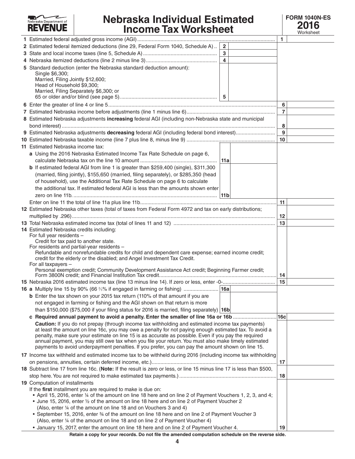#### **TAX** z Nebraska Department of

## **Nebraska Individual Estimated Income Tax Worksheet**



|                                                                                                                       |                | $\mathbf{1}$   |  |
|-----------------------------------------------------------------------------------------------------------------------|----------------|----------------|--|
| 2 Estimated federal itemized deductions (line 29, Federal Form 1040, Schedule A)  2                                   |                |                |  |
|                                                                                                                       |                |                |  |
|                                                                                                                       | $\overline{4}$ |                |  |
| 5 Standard deduction (enter the Nebraska standard deduction amount):                                                  |                |                |  |
| Single \$6,300;                                                                                                       |                |                |  |
| Married, Filing Jointly \$12,600;                                                                                     |                |                |  |
| Head of Household \$9,300;<br>Married, Filing Separately \$6,300; or                                                  |                |                |  |
|                                                                                                                       | 5              |                |  |
|                                                                                                                       |                | 6              |  |
|                                                                                                                       |                | $\overline{7}$ |  |
| 8 Estimated Nebraska adjustments increasing federal AGI (including non-Nebraska state and municipal                   |                |                |  |
|                                                                                                                       |                | 8              |  |
|                                                                                                                       |                | 9              |  |
|                                                                                                                       |                | 10             |  |
|                                                                                                                       |                |                |  |
| 11 Estimated Nebraska income tax:                                                                                     |                |                |  |
| a Using the 2016 Nebraska Estimated Income Tax Rate Schedule on page 6,                                               |                |                |  |
|                                                                                                                       |                |                |  |
| <b>b</b> If estimated federal AGI from line 1 is greater than \$259,400 (single), \$311,300                           |                |                |  |
| (married, filing jointly), \$155,650 (married, filing separately), or \$285,350 (head                                 |                |                |  |
| of household), use the Additional Tax Rate Schedule on page 6 to calculate                                            |                |                |  |
| the additional tax. If estimated federal AGI is less than the amounts shown enter                                     |                |                |  |
|                                                                                                                       |                |                |  |
|                                                                                                                       |                | 11             |  |
| 12 Estimated Nebraska other taxes (total of taxes from Federal Form 4972 and tax on early distributions;              |                |                |  |
|                                                                                                                       |                | 12             |  |
|                                                                                                                       |                | 13             |  |
| 14 Estimated Nebraska credits including:                                                                              |                |                |  |
| For full year residents -<br>Credit for tax paid to another state.                                                    |                |                |  |
| For residents and partial-year residents -                                                                            |                |                |  |
| Refundable and nonrefundable credits for child and dependent care expense; earned income credit;                      |                |                |  |
| credit for the elderly or the disabled; and Angel Investment Tax Credit.                                              |                |                |  |
| For all taxpayers -                                                                                                   |                |                |  |
| Personal exemption credit; Community Development Assistance Act credit; Beginning Farmer credit;                      |                | 14             |  |
|                                                                                                                       |                | 15             |  |
|                                                                                                                       |                |                |  |
| <b>b</b> Enter the tax shown on your 2015 tax return (110% of that amount if you are                                  |                |                |  |
| not engaged in farming or fishing and the AGI shown on that return is more                                            |                |                |  |
| than \$150,000 (\$75,000 if your filing status for 2016 is married, filing separately)   16b                          |                |                |  |
| c Required annual payment to avoid a penalty. Enter the smaller of line 16a or 16b                                    |                | 16c            |  |
| Caution: If you do not prepay (through income tax withholding and estimated income tax payments)                      |                |                |  |
| at least the amount on line 16c, you may owe a penalty for not paying enough estimated tax. To avoid a                |                |                |  |
| penalty, make sure your estimate on line 15 is as accurate as possible. Even if you pay the required                  |                |                |  |
| annual payment, you may still owe tax when you file your return. You must also make timely estimated                  |                |                |  |
| payments to avoid underpayment penalties. If you prefer, you can pay the amount shown on line 15.                     |                |                |  |
| 17 Income tax withheld and estimated income tax to be withheld during 2016 (including income tax withholding          |                |                |  |
|                                                                                                                       |                | 17             |  |
| 18 Subtract line 17 from line 16c. (Note: If the result is zero or less, or line 15 minus line 17 is less than \$500, |                |                |  |
|                                                                                                                       |                | 18             |  |
| <b>19</b> Computation of installments                                                                                 |                |                |  |
| If the first installment you are required to make is due on:                                                          |                |                |  |
| • April 15, 2016, enter 1/4 of the amount on line 18 here and on line 2 of Payment Vouchers 1, 2, 3, and 4;           |                |                |  |
| • June 15, 2016, enter 1/2 of the amount on line 18 here and on line 2 of Payment Voucher 2                           |                |                |  |
| (Also, enter 1/4 of the amount on line 18 and on Vouchers 3 and 4)                                                    |                |                |  |
| • September 15, 2016, enter 34 of the amount on line 18 here and on line 2 of Payment Voucher 3                       |                |                |  |
| (Also, enter 1/4 of the amount on line 18 and on line 2 of Payment Voucher 4)                                         |                |                |  |
| • January 15, 2017, enter the amount on line 18 here and on line 2 of Payment Voucher 4.                              |                | 19             |  |

**Retain a copy for your records. Do not file the amended computation schedule on the reverse side.**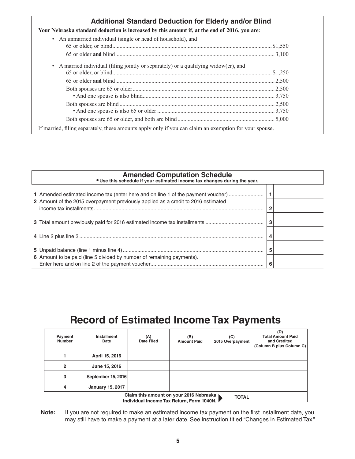| <b>Additional Standard Deduction for Elderly and/or Blind</b>                                          |  |  |  |  |  |  |  |  |
|--------------------------------------------------------------------------------------------------------|--|--|--|--|--|--|--|--|
| Your Nebraska standard deduction is increased by this amount if, at the end of 2016, you are:          |  |  |  |  |  |  |  |  |
| An unmarried individual (single or head of household), and<br>$\bullet$                                |  |  |  |  |  |  |  |  |
|                                                                                                        |  |  |  |  |  |  |  |  |
|                                                                                                        |  |  |  |  |  |  |  |  |
| A married individual (filing jointly or separately) or a qualifying widow(er), and<br>$\bullet$        |  |  |  |  |  |  |  |  |
|                                                                                                        |  |  |  |  |  |  |  |  |
|                                                                                                        |  |  |  |  |  |  |  |  |
|                                                                                                        |  |  |  |  |  |  |  |  |
|                                                                                                        |  |  |  |  |  |  |  |  |
|                                                                                                        |  |  |  |  |  |  |  |  |
|                                                                                                        |  |  |  |  |  |  |  |  |
|                                                                                                        |  |  |  |  |  |  |  |  |
| If married, filing separately, these amounts apply only if you can claim an exemption for your spouse. |  |  |  |  |  |  |  |  |

| <b>Amended Computation Schedule • Use this schedule if your estimated income tax changes during the year.</b> |   |  |  |  |  |  |  |
|---------------------------------------------------------------------------------------------------------------|---|--|--|--|--|--|--|
| 1 Amended estimated income tax (enter here and on line 1 of the payment voucher)                              |   |  |  |  |  |  |  |
| 2 Amount of the 2015 overpayment previously applied as a credit to 2016 estimated                             |   |  |  |  |  |  |  |
|                                                                                                               |   |  |  |  |  |  |  |
|                                                                                                               |   |  |  |  |  |  |  |
|                                                                                                               | 5 |  |  |  |  |  |  |
| 6 Amount to be paid (line 5 divided by number of remaining payments).                                         | 6 |  |  |  |  |  |  |

# **Record of Estimated Income Tax Payments**

| Payment<br><b>Number</b> | <b>Installment</b><br>Date | (A)<br><b>Date Filed</b> | (B)<br><b>Amount Paid</b> | (C)<br>2015 Overpayment | (D)<br><b>Total Amount Paid</b><br>and Credited<br>(Column B plus Column C) |
|--------------------------|----------------------------|--------------------------|---------------------------|-------------------------|-----------------------------------------------------------------------------|
|                          | April 15, 2016             |                          |                           |                         |                                                                             |
| 2                        | June 15, 2016              |                          |                           |                         |                                                                             |
| 3                        | September 15, 2016         |                          |                           |                         |                                                                             |
| 4                        | <b>January 15, 2017</b>    |                          |                           |                         |                                                                             |
|                          |                            |                          |                           |                         |                                                                             |

**Note:** If you are not required to make an estimated income tax payment on the first installment date, you may still have to make a payment at a later date. See instruction titled "Changes in Estimated Tax."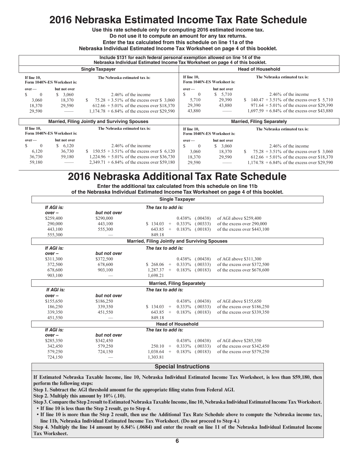## **2016 Nebraska Estimated Income Tax Rate Schedule**

**Use this rate schedule only for computing 2016 estimated income tax.** 

**Do not use it to compute an amount for any tax returns.** 

**Enter the tax calculated from this schedule on line 11a of the**

**Nebraska Individual Estimated Income Tax Worksheet on page 4 of this booklet.**

|                                                           | Include \$131 for each federal personal exemption allowed on line 14 of the<br>Nebraska Individual Estimated Income Tax Worksheet on page 4 of this booklet. |                                                      |                                                                              |                                                 |                                                              |  |  |  |  |  |
|-----------------------------------------------------------|--------------------------------------------------------------------------------------------------------------------------------------------------------------|------------------------------------------------------|------------------------------------------------------------------------------|-------------------------------------------------|--------------------------------------------------------------|--|--|--|--|--|
|                                                           |                                                                                                                                                              | <b>Single Taxpayer</b>                               |                                                                              |                                                 | <b>Head of Household</b>                                     |  |  |  |  |  |
| If line 10,<br>Form 1040N-ES Worksheet is:                |                                                                                                                                                              | The Nebraska estimated tax is:                       | If line 10,<br>Form 1040N-ES Worksheet is:                                   |                                                 | The Nebraska estimated tax is:                               |  |  |  |  |  |
| $over-$                                                   | but not over                                                                                                                                                 |                                                      | $over-$                                                                      | but not over                                    |                                                              |  |  |  |  |  |
| $\Omega$                                                  | 3,060<br>S.                                                                                                                                                  | 2.46% of the income                                  | <b>S</b><br>$\theta$                                                         | 5,710<br>S.                                     | 2.46% of the income                                          |  |  |  |  |  |
| 3,060                                                     | 18,370<br>$75.28 + 3.51\%$ of the excess over \$ 3,060                                                                                                       |                                                      | 5,710                                                                        | 29,390                                          | \$ 140.47 + 3.51% of the excess over \$ 5,710                |  |  |  |  |  |
| 18,370<br>29,590                                          |                                                                                                                                                              | $612.66 + 5.01\%$ of the excess over \$18,370        | 29,390                                                                       | 43,880                                          | $971.64 + 5.01\%$ of the excess over \$29,390                |  |  |  |  |  |
| 29,590                                                    |                                                                                                                                                              | $1,174.78 + 6.84\%$ of the excess over \$29,590      | 43,880                                                                       |                                                 | $1,697.59 + 6.84\%$ of the excess over \$43,880              |  |  |  |  |  |
|                                                           |                                                                                                                                                              | <b>Married, Filing Jointly and Surviving Spouses</b> | <b>Married, Filing Separately</b>                                            |                                                 |                                                              |  |  |  |  |  |
| If line 10,<br>Form 1040N-ES Worksheet is:                |                                                                                                                                                              | The Nebraska estimated tax is:                       | If line 10.<br>The Nebraska estimated tax is:<br>Form 1040N-ES Worksheet is: |                                                 |                                                              |  |  |  |  |  |
| $over-$                                                   | but not over                                                                                                                                                 |                                                      | $over-$                                                                      | but not over                                    |                                                              |  |  |  |  |  |
| S<br>$\Omega$                                             | 6,120<br>S.                                                                                                                                                  | $2.46\%$ of the income                               | $\theta$                                                                     | \$3,060                                         | $2.46\%$ of the income                                       |  |  |  |  |  |
| 6,120                                                     | 36,730                                                                                                                                                       | \$ 150.55 $+3.51\%$ of the excess over \$ 6,120      | 3,060                                                                        | 18,370                                          | $75.28 + 3.51\%$ of the excess over \$ 3,060<br><sup>S</sup> |  |  |  |  |  |
| 36,730                                                    | 59,180                                                                                                                                                       | $1,224.96 + 5.01\%$ of the excess over \$36,730      | 18,370                                                                       | 29,590                                          | $612.66 + 5.01\%$ of the excess over \$18,370                |  |  |  |  |  |
| $2,349.71 + 6.84\%$ of the excess over \$59,180<br>59,180 |                                                                                                                                                              | 29,590                                               |                                                                              | $1,174.78 + 6.84\%$ of the excess over \$29,590 |                                                              |  |  |  |  |  |

## **2016 Nebraska Additional Tax Rate Schedule**

**Enter the additional tax calculated from this schedule on line 11b of the Nebraska Individual Estimated Income Tax Worksheet on page 4 of this booklet.**

| <b>Single Taxpayer</b> |                                                         |                                                                          |  |  |  |  |  |  |  |  |
|------------------------|---------------------------------------------------------|--------------------------------------------------------------------------|--|--|--|--|--|--|--|--|
| If AGI is:             | The tax to add is:                                      |                                                                          |  |  |  |  |  |  |  |  |
| $over -$               | but not over                                            |                                                                          |  |  |  |  |  |  |  |  |
| \$259,400              | \$290,000                                               | $0.438\%$ (.00438)<br>of AGI above \$259,400                             |  |  |  |  |  |  |  |  |
| 290,000                | 443,100                                                 | \$134.03<br>$0.333\%$<br>(.00333)<br>of the excess over 290,000<br>$+$   |  |  |  |  |  |  |  |  |
| 443,100                | 555,300                                                 | of the excess over \$443,100<br>$643.85 +$<br>$0.183\%$ (.00183)         |  |  |  |  |  |  |  |  |
| 555,300                |                                                         | 849.18                                                                   |  |  |  |  |  |  |  |  |
|                        |                                                         | <b>Married, Filing Jointly and Surviving Spouses</b>                     |  |  |  |  |  |  |  |  |
| If AGI is:             |                                                         | The tax to add is:                                                       |  |  |  |  |  |  |  |  |
| $over -$               | but not over                                            |                                                                          |  |  |  |  |  |  |  |  |
| \$311,300              | \$372,500                                               | $0.438\%$ (.00438)<br>of AGI above \$311,300                             |  |  |  |  |  |  |  |  |
| 372,500                | 678,600                                                 | $0.333\%$<br>of the excess over \$372,500<br>\$268.06<br>(.00333)<br>$+$ |  |  |  |  |  |  |  |  |
| 678,600                | 903,100                                                 | $0.183\%$ (.00183)<br>of the excess over \$678,600<br>$1,287.37 +$       |  |  |  |  |  |  |  |  |
| 903,100                |                                                         | 1.698.21                                                                 |  |  |  |  |  |  |  |  |
|                        |                                                         | <b>Married, Filing Separately</b>                                        |  |  |  |  |  |  |  |  |
| If AGI is:             |                                                         | The tax to add is:                                                       |  |  |  |  |  |  |  |  |
| $over -$               | but not over                                            |                                                                          |  |  |  |  |  |  |  |  |
| \$155,650              | \$186,250                                               | $0.438\%$ (.00438)<br>of AGI above \$155,650                             |  |  |  |  |  |  |  |  |
| 186,250                | 339,350                                                 | \$134.03<br>$0.333\%$ $(.00333)$<br>of the excess over \$186,250<br>$+$  |  |  |  |  |  |  |  |  |
| 339,350                | 451,550                                                 | of the excess over \$339,350<br>$643.85 +$<br>$0.183\%$ (.00183)         |  |  |  |  |  |  |  |  |
| 451,550                |                                                         | 849.18                                                                   |  |  |  |  |  |  |  |  |
|                        |                                                         | <b>Head of Household</b>                                                 |  |  |  |  |  |  |  |  |
| If AGI is:             |                                                         | The tax to add is:                                                       |  |  |  |  |  |  |  |  |
| $over -$               | but not over                                            |                                                                          |  |  |  |  |  |  |  |  |
| \$285,350              | \$342,450                                               | of AGI above \$285,350<br>$0.438\%$ (.00438)                             |  |  |  |  |  |  |  |  |
| 342,450                | 579,250                                                 | $250.10 +$<br>$0.333\%$ (.00333)<br>of the excess over \$342,450         |  |  |  |  |  |  |  |  |
| 579,250                | 724,150                                                 | of the excess over \$579,250<br>$1,038.64$ +<br>$0.183\%$ (.00183)       |  |  |  |  |  |  |  |  |
| 724,150                |                                                         | 1,303.81                                                                 |  |  |  |  |  |  |  |  |
|                        | $\sim$ $\sim$ $\sim$ $\sim$ $\sim$ $\sim$ $\sim$ $\sim$ |                                                                          |  |  |  |  |  |  |  |  |

#### **Special Instructions**

**If Estimated Nebraska Taxable Income, line 10, Nebraska Individual Estimated Income Tax Worksheet, is less than \$59,180, then perform the following steps:** 

**Step 1. Subtract the AGI threshold amount for the appropriate filing status from Federal AGI.** 

**Step 2. Multiply this amount by 10% (.10).** 

**Step 3. Compare the Step 2 result to Estimated Nebraska Taxable Income, line 10, Nebraska Individual Estimated Income Tax Worksheet. • If line 10 is less than the Step 2 result, go to Step 4.**

• If line 10 is more than the Step 2 result, then use the Additional Tax Rate Schedule above to compute the Nebraska income tax, **line 11b, Nebraska Individual Estimated Income Tax Worksheet. (Do not proceed to Step 4.)** 

**Step 4. Multiply the line 14 amount by 6.84% (.0684) and enter the result on line 11 of the Nebraska Individual Estimated Income Tax Worksheet.**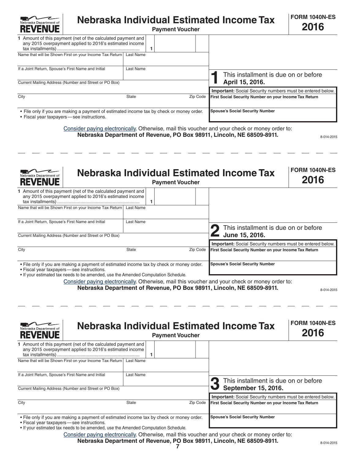| Nebraska Department of<br><b>REVENUE</b>           | Nebraska Individual Estimated Income Tax                                                                               | <b>FORM 1040N-ES</b><br>2016 |          |                                                                  |  |
|----------------------------------------------------|------------------------------------------------------------------------------------------------------------------------|------------------------------|----------|------------------------------------------------------------------|--|
|                                                    | 1 Amount of this payment (net of the calculated payment and<br>any 2015 overpayment applied to 2016's estimated income |                              |          |                                                                  |  |
|                                                    | Name that will be Shown First on your Income Tax Return Last Name                                                      |                              |          |                                                                  |  |
| If a Joint Return, Spouse's First Name and Initial |                                                                                                                        | Last Name                    |          | This installment is due on or before                             |  |
|                                                    | Current Mailing Address (Number and Street or PO Box)                                                                  |                              |          | April 15, 2016.                                                  |  |
|                                                    |                                                                                                                        |                              |          | <b>Important:</b> Social Security numbers must be entered below. |  |
| City                                               |                                                                                                                        | <b>State</b>                 | Zip Code | First Social Security Number on your Income Tax Return           |  |
| • Fiscal year taxpayers - see instructions.        | . File only if you are making a payment of estimated income tax by check or money order.                               |                              |          | <b>Spouse's Social Security Number</b>                           |  |

Consider paying electronically. Otherwise, mail this voucher and your check or money order to: **Nebraska Department of Revenue, PO Box 98911, Lincoln, NE 68509-8911.**

8-014-2015

| Nebraska Department of<br><b>REVENUE</b>              |                                                                                                                                                                                |                                        | <b>Payment Voucher</b> | Nebraska Individual Estimated Income Tax                                                       | <b>FORM 1040N-ES</b><br>2016 |
|-------------------------------------------------------|--------------------------------------------------------------------------------------------------------------------------------------------------------------------------------|----------------------------------------|------------------------|------------------------------------------------------------------------------------------------|------------------------------|
|                                                       | 1 Amount of this payment (net of the calculated payment and<br>any 2015 overpayment applied to 2016's estimated income                                                         |                                        |                        |                                                                                                |                              |
|                                                       | Name that will be Shown First on your Income Tax Return                                                                                                                        | <b>Last Name</b>                       |                        |                                                                                                |                              |
| If a Joint Return, Spouse's First Name and Initial    |                                                                                                                                                                                | Last Name                              |                        | This installment is due on or before                                                           |                              |
| Current Mailing Address (Number and Street or PO Box) |                                                                                                                                                                                |                                        |                        | June 15, 2016.                                                                                 |                              |
|                                                       |                                                                                                                                                                                |                                        |                        | <b>Important:</b> Social Security numbers must be entered below.                               |                              |
| City                                                  |                                                                                                                                                                                | <b>State</b>                           | Zip Code               | First Social Security Number on your Income Tax Return                                         |                              |
| • Fiscal year taxpayers - see instructions.           | • File only if you are making a payment of estimated income tax by check or money order.<br>. If your estimated tax needs to be amended, use the Amended Computation Schedule. | <b>Spouse's Social Security Number</b> |                        |                                                                                                |                              |
|                                                       |                                                                                                                                                                                |                                        |                        | Consider paying electronically. Otherwise, mail this voucher and your check or money order to: |                              |

**Nebraska Department of Revenue, PO Box 98911, Lincoln, NE 68509-8911.**

8-014-2015

| Nebraska Department of<br><b>REVENUE</b>           | Nebraska Individual Estimated Income Tax                                                                                                                                       | <b>FORM 1040N-ES</b><br>2016 |          |                                                                                                                            |  |
|----------------------------------------------------|--------------------------------------------------------------------------------------------------------------------------------------------------------------------------------|------------------------------|----------|----------------------------------------------------------------------------------------------------------------------------|--|
|                                                    | 1 Amount of this payment (net of the calculated payment and<br>any 2015 overpayment applied to 2016's estimated income                                                         |                              |          |                                                                                                                            |  |
|                                                    | Name that will be Shown First on your Income Tax Return Last Name                                                                                                              |                              |          |                                                                                                                            |  |
| If a Joint Return, Spouse's First Name and Initial |                                                                                                                                                                                | Last Name                    |          | This installment is due on or before<br>September 15, 2016.                                                                |  |
|                                                    | Current Mailing Address (Number and Street or PO Box)                                                                                                                          |                              |          |                                                                                                                            |  |
| City                                               |                                                                                                                                                                                | <b>State</b>                 | Zip Code | <b>Important:</b> Social Security numbers must be entered below.<br>First Social Security Number on your Income Tax Return |  |
| • Fiscal year taxpayers - see instructions.        | • File only if you are making a payment of estimated income tax by check or money order.<br>. If your estimated tax needs to be amended, use the Amended Computation Schedule. |                              |          | <b>Spouse's Social Security Number</b>                                                                                     |  |

Consider paying electronically. Otherwise, mail this voucher and your check or money order to:

**Nebraska Department of Revenue, PO Box 98911, Lincoln, NE 68509-8911.**